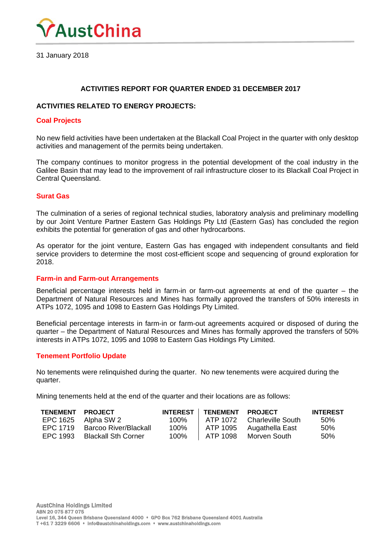

31 January 2018

## **ACTIVITIES REPORT FOR QUARTER ENDED 31 DECEMBER 2017**

#### **ACTIVITIES RELATED TO ENERGY PROJECTS:**

#### **Coal Projects**

No new field activities have been undertaken at the Blackall Coal Project in the quarter with only desktop activities and management of the permits being undertaken.

The company continues to monitor progress in the potential development of the coal industry in the Galilee Basin that may lead to the improvement of rail infrastructure closer to its Blackall Coal Project in Central Queensland.

#### **Surat Gas**

The culmination of a series of regional technical studies, laboratory analysis and preliminary modelling by our Joint Venture Partner Eastern Gas Holdings Pty Ltd (Eastern Gas) has concluded the region exhibits the potential for generation of gas and other hydrocarbons.

As operator for the joint venture, Eastern Gas has engaged with independent consultants and field service providers to determine the most cost-efficient scope and sequencing of ground exploration for 2018.

#### **Farm-in and Farm-out Arrangements**

Beneficial percentage interests held in farm-in or farm-out agreements at end of the quarter – the Department of Natural Resources and Mines has formally approved the transfers of 50% interests in ATPs 1072, 1095 and 1098 to Eastern Gas Holdings Pty Limited.

Beneficial percentage interests in farm-in or farm-out agreements acquired or disposed of during the quarter – the Department of Natural Resources and Mines has formally approved the transfers of 50% interests in ATPs 1072, 1095 and 1098 to Eastern Gas Holdings Pty Limited.

#### **Tenement Portfolio Update**

No tenements were relinquished during the quarter. No new tenements were acquired during the quarter.

Mining tenements held at the end of the quarter and their locations are as follows:

| <b>TENEMENT</b> | <b>PROJECT</b>             | <b>INTEREST</b> | <b>TENEMENT</b> | <b>PROJECT</b>    | <b>INTEREST</b> |
|-----------------|----------------------------|-----------------|-----------------|-------------------|-----------------|
| EPC 1625        | Alpha SW 2                 | 100%            | ATP 1072        | Charleville South | .50%            |
| FPC 1719        | Barcoo River/Blackall      | 100%            | ATP 1095        | Augathella East   | .50%            |
| FPC 1993        | <b>Blackall Sth Corner</b> | 100%            | ATP 1098        | Morven South      | 50%             |